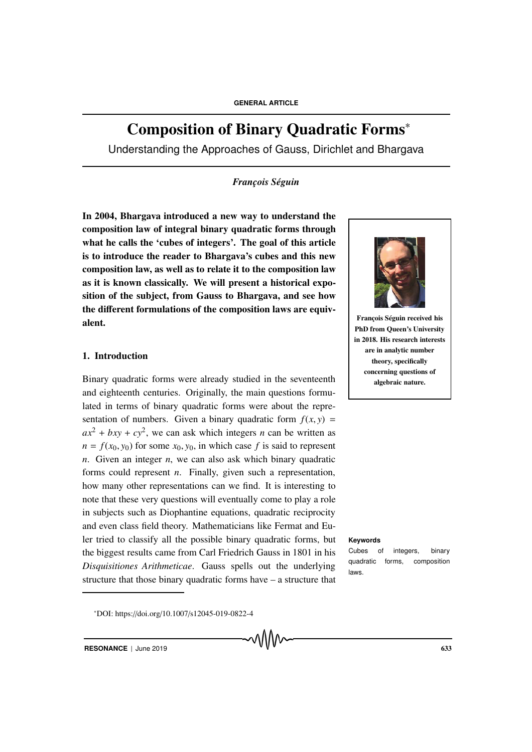# Composition of Binary Quadratic Forms<sup>∗</sup>

Understanding the Approaches of Gauss, Dirichlet and Bhargava

# *François Séguin*

In 2004, Bhargava introduced a new way to understand the composition law of integral binary quadratic forms through what he calls the 'cubes of integers'. The goal of this article is to introduce the reader to Bhargava's cubes and this new composition law, as well as to relate it to the composition law as it is known classically. We will present a historical exposition of the subject, from Gauss to Bhargava, and see how the different formulations of the composition laws are equivalent.

# 1. Introduction

Binary quadratic forms were already studied in the seventeenth and eighteenth centuries. Originally, the main questions formulated in terms of binary quadratic forms were about the representation of numbers. Given a binary quadratic form  $f(x, y) =$  $ax^{2} + bxy + cy^{2}$ , we can ask which integers *n* can be written as  $n = f(x_0, y_0)$  for some  $x_0, y_0$ , in which case f is said to represent *n*. Given an integer *n*, we can also ask which binary quadratic forms could represent *n*. Finally, given such a representation, how many other representations can we find. It is interesting to note that these very questions will eventually come to play a role in subjects such as Diophantine equations, quadratic reciprocity and even class field theory. Mathematicians like Fermat and Euler tried to classify all the possible binary quadratic forms, but **Keywords** the biggest results came from Carl Friedrich Gauss in 1801 in his *Disquisitiones Arithmeticae*. Gauss spells out the underlying structure that those binary quadratic forms have – a structure that



François Séguin received his PhD from Queen's University in 2018. His research interests are in analytic number theory, specifically concerning questions of algebraic nature.

Cubes of integers, binary quadratic forms, composition laws.

<sup>∗</sup>DOI: https://doi.org/10.1007/s12045-019-0822-4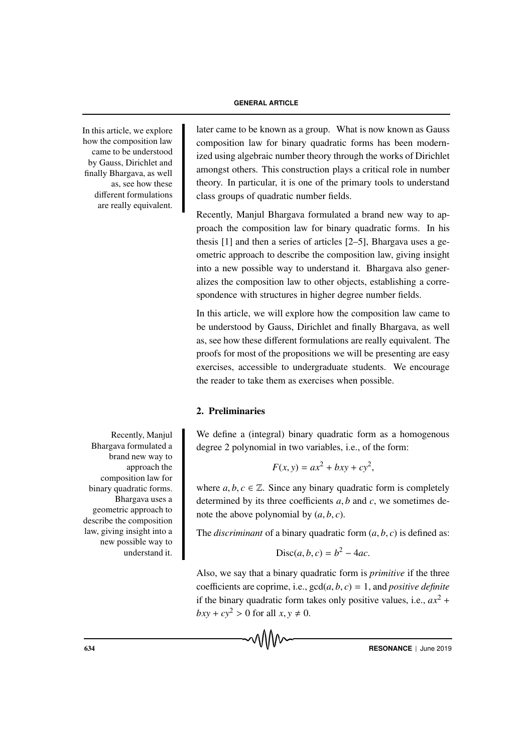how the composition law came to be understood by Gauss, Dirichlet and finally Bhargava, as well as, see how these different formulations are really equivalent.

Recently, Manjul Bhargava formulated a brand new way to approach the composition law for binary quadratic forms. Bhargava uses a geometric approach to describe the composition law, giving insight into a new possible way to understand it.

In this article, we explore later came to be known as a group. What is now known as Gauss composition law for binary quadratic forms has been modernized using algebraic number theory through the works of Dirichlet amongst others. This construction plays a critical role in number theory. In particular, it is one of the primary tools to understand class groups of quadratic number fields.

> Recently, Manjul Bhargava formulated a brand new way to approach the composition law for binary quadratic forms. In his thesis [1] and then a series of articles [2–5], Bhargava uses a geometric approach to describe the composition law, giving insight into a new possible way to understand it. Bhargava also generalizes the composition law to other objects, establishing a correspondence with structures in higher degree number fields.

> In this article, we will explore how the composition law came to be understood by Gauss, Dirichlet and finally Bhargava, as well as, see how these different formulations are really equivalent. The proofs for most of the propositions we will be presenting are easy exercises, accessible to undergraduate students. We encourage the reader to take them as exercises when possible.

# 2. Preliminaries

We define a (integral) binary quadratic form as a homogenous degree 2 polynomial in two variables, i.e., of the form:

$$
F(x, y) = ax^2 + bxy + cy^2,
$$

where  $a, b, c \in \mathbb{Z}$ . Since any binary quadratic form is completely determined by its three coefficients *a*, *b* and *c*, we sometimes denote the above polynomial by  $(a, b, c)$ .

The *discriminant* of a binary quadratic form (*a*, *b*, *c*) is defined as:

$$
\text{Disc}(a, b, c) = b^2 - 4ac.
$$

Also, we say that a binary quadratic form is *primitive* if the three coefficients are coprime, i.e.,  $gcd(a, b, c) = 1$ , and *positive definite* if the binary quadratic form takes only positive values, i.e.,  $ax^2$  +  $bxy + cy^2 > 0$  for all  $x, y \neq 0$ .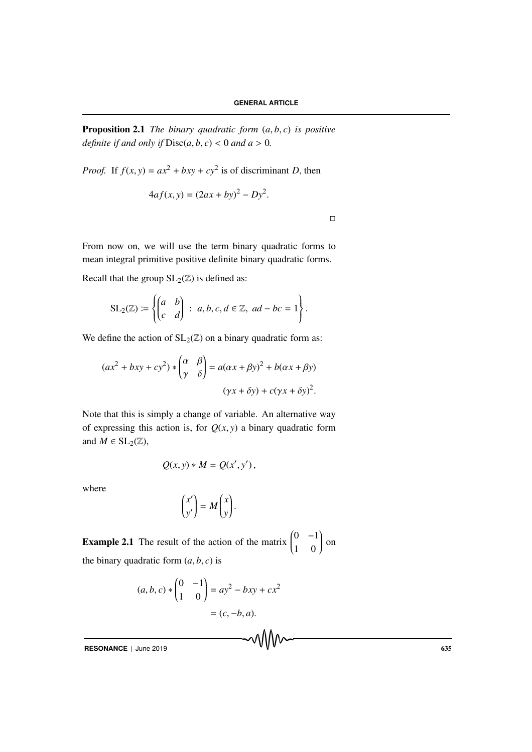Proposition 2.1 *The binary quadratic form* (*a*, *b*, *c*) *is positive definite if and only if*  $Disc(a, b, c) < 0$  *and a* > 0*.* 

*Proof.* If  $f(x, y) = ax^2 + bxy + cy^2$  is of discriminant *D*, then

$$
4af(x, y) = (2ax + by)^2 - Dy^2.
$$

 $\Box$ 

From now on, we will use the term binary quadratic forms to mean integral primitive positive definite binary quadratic forms.

Recall that the group  $SL_2(\mathbb{Z})$  is defined as:

$$
SL_2(\mathbb{Z}) \coloneqq \left\{ \begin{pmatrix} a & b \\ c & d \end{pmatrix} \, : \, a, b, c, d \in \mathbb{Z}, \, ad - bc = 1 \right\}.
$$

We define the action of  $SL_2(\mathbb{Z})$  on a binary quadratic form as:

$$
(ax2 + bxy + cy2) * \begin{pmatrix} \alpha & \beta \\ \gamma & \delta \end{pmatrix} = a(\alpha x + \beta y)^{2} + b(\alpha x + \beta y)
$$

$$
(\gamma x + \delta y) + c(\gamma x + \delta y)^{2}.
$$

Note that this is simply a change of variable. An alternative way of expressing this action is, for  $Q(x, y)$  a binary quadratic form and  $M \in SL_2(\mathbb{Z}),$ 

$$
Q(x, y) * M = Q(x', y'),
$$

where

$$
\begin{pmatrix} x' \\ y' \end{pmatrix} = M \begin{pmatrix} x \\ y \end{pmatrix}.
$$

**Example 2.1** The result of the action of the matrix  $\left( \begin{array}{c} 1 \end{array} \right)$  $0 -1$ 1 0  $\int$  on the binary quadratic form  $(a, b, c)$  is

$$
(a, b, c) * {0 \t-1 \choose 1 \t 0} = ay^2 - bxy + cx^2
$$
  
=  $(c, -b, a)$ .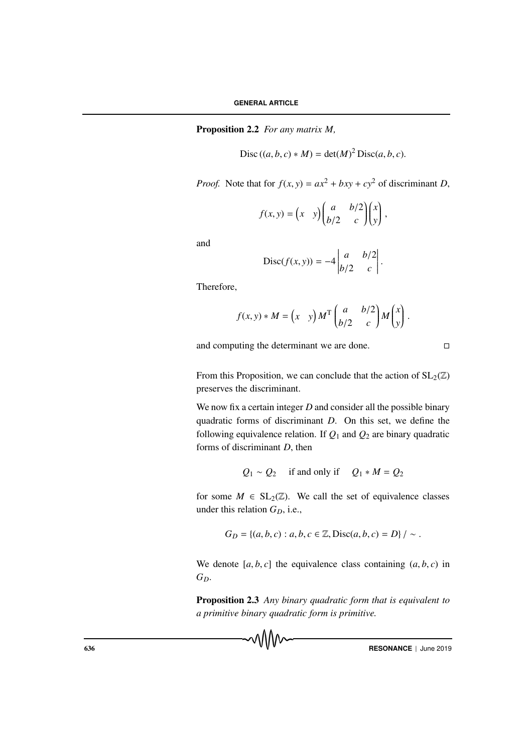Proposition 2.2 *For any matrix M,*

$$
Disc ((a, b, c) * M) = det(M)^{2} Disc(a, b, c).
$$

*Proof.* Note that for  $f(x, y) = ax^2 + bxy + cy^2$  of discriminant *D*,

$$
f(x, y) = \begin{pmatrix} x & y \end{pmatrix} \begin{pmatrix} a & b/2 \\ b/2 & c \end{pmatrix} \begin{pmatrix} x \\ y \end{pmatrix},
$$

and

$$
\text{Disc}(f(x, y)) = -4 \begin{vmatrix} a & b/2 \\ b/2 & c \end{vmatrix}.
$$

Therefore,

$$
f(x, y) * M = \begin{pmatrix} x & y \end{pmatrix} M^{\mathrm{T}} \begin{pmatrix} a & b/2 \\ b/2 & c \end{pmatrix} M \begin{pmatrix} x \\ y \end{pmatrix}.
$$

and computing the determinant we are done.  $\Box$ 

From this Proposition, we can conclude that the action of  $SL_2(\mathbb{Z})$ preserves the discriminant.

We now fix a certain integer *D* and consider all the possible binary quadratic forms of discriminant *D*. On this set, we define the following equivalence relation. If  $Q_1$  and  $Q_2$  are binary quadratic forms of discriminant *D*, then

$$
Q_1 \sim Q_2
$$
 if and only if  $Q_1 * M = Q_2$ 

for some  $M \in SL_2(\mathbb{Z})$ . We call the set of equivalence classes under this relation  $G_D$ , i.e.,

$$
G_D = \{(a, b, c) : a, b, c \in \mathbb{Z}, \text{Disc}(a, b, c) = D\} / \sim.
$$

We denote  $[a, b, c]$  the equivalence class containing  $(a, b, c)$  in *GD*.

Proposition 2.3 *Any binary quadratic form that is equivalent to a primitive binary quadratic form is primitive.*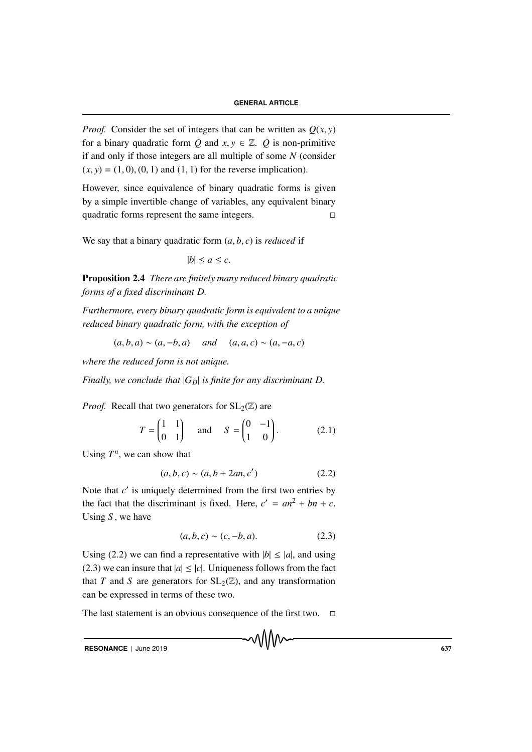*Proof.* Consider the set of integers that can be written as  $O(x, y)$ for a binary quadratic form *Q* and  $x, y \in \mathbb{Z}$ . *Q* is non-primitive if and only if those integers are all multiple of some *N* (consider  $(x, y) = (1, 0), (0, 1)$  and  $(1, 1)$  for the reverse implication).

However, since equivalence of binary quadratic forms is given by a simple invertible change of variables, any equivalent binary quadratic forms represent the same integers.  $\Box$ 

We say that a binary quadratic form  $(a, b, c)$  is *reduced* if

 $|b| \leq a \leq c$ .

Proposition 2.4 *There are finitely many reduced binary quadratic forms of a fixed discriminant D.*

*Furthermore, every binary quadratic form is equivalent to a unique reduced binary quadratic form, with the exception of*

 $(a, b, a) \sim (a, -b, a)$  *and*  $(a, a, c) \sim (a, -a, c)$ 

*where the reduced form is not unique.*

*Finally, we conclude that*  $|G_D|$  *is finite for any discriminant D.* 

*Proof.* Recall that two generators for  $SL_2(\mathbb{Z})$  are

$$
T = \begin{pmatrix} 1 & 1 \\ 0 & 1 \end{pmatrix} \quad \text{and} \quad S = \begin{pmatrix} 0 & -1 \\ 1 & 0 \end{pmatrix}.
$$
 (2.1)

Using  $T^n$ , we can show that

$$
(a, b, c) \sim (a, b + 2an, c')
$$
 (2.2)

Note that *c'* is uniquely determined from the first two entries by the fact that the discriminant is fixed. Here,  $c' = an^2 + bn + c$ . Using *S* , we have

$$
(a, b, c) \sim (c, -b, a). \tag{2.3}
$$

Using (2.2) we can find a representative with  $|b| \le |a|$ , and using (2.3) we can insure that  $|a| \leq |c|$ . Uniqueness follows from the fact that *T* and *S* are generators for  $SL_2(\mathbb{Z})$ , and any transformation can be expressed in terms of these two.

The last statement is an obvious consequence of the first two.  $\Box$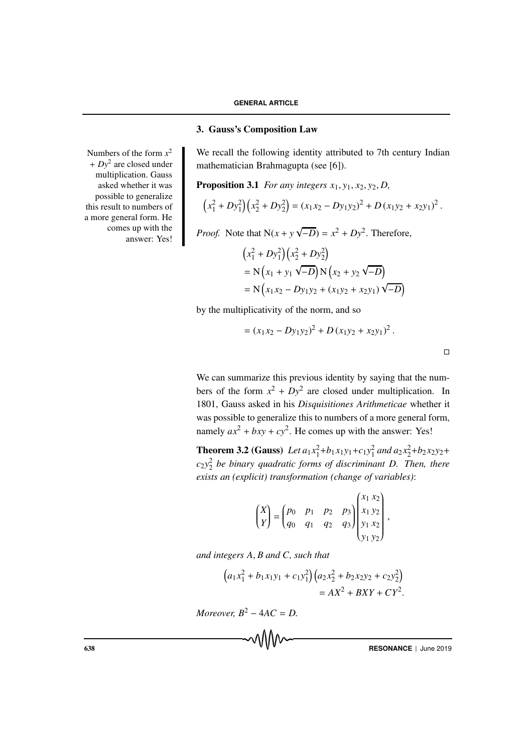### 3. Gauss's Composition Law

We recall the following identity attributed to 7th century Indian mathematician Brahmagupta (see [6]).

**Proposition 3.1** *For any integers*  $x_1, y_1, x_2, y_2, D$ ,

$$
(x_1^2 + Dy_1^2)(x_2^2 + Dy_2^2) = (x_1x_2 - Dy_1y_2)^2 + D(x_1y_2 + x_2y_1)^2.
$$

*Proof.* Note that N(*x* + *y* √  $\overline{-D}$ ) =  $x^2 + Dy^2$ . Therefore,

$$
(x_1^2 + Dy_1^2)(x_2^2 + Dy_2^2)
$$
  
= N(x<sub>1</sub> + y<sub>1</sub>  $\sqrt{-D}$ ) N(x<sub>2</sub> + y<sub>2</sub>  $\sqrt{-D}$ )  
= N(x<sub>1</sub>x<sub>2</sub> - Dy<sub>1</sub>y<sub>2</sub> + (x<sub>1</sub>y<sub>2</sub> + x<sub>2</sub>y<sub>1</sub>)  $\sqrt{-D}$ )

by the multiplicativity of the norm, and so

$$
= (x_1x_2 - Dy_1y_2)^2 + D (x_1y_2 + x_2y_1)^2.
$$

We can summarize this previous identity by saying that the numbers of the form  $x^2 + Dy^2$  are closed under multiplication. In 1801, Gauss asked in his *Disquisitiones Arithmeticae* whether it was possible to generalize this to numbers of a more general form, namely  $ax^2 + bxy + cy^2$ . He comes up with the answer: Yes!

**Theorem 3.2 (Gauss)** Let  $a_1x_1^2 + b_1x_1y_1 + c_1y_1^2$  and  $a_2x_2^2 + b_2x_2y_2 + c_1y_1^2$ *c*2*y*<sup>2</sup> <sup>2</sup> *be binary quadratic forms of discriminant D. Then, there exists an (explicit) transformation (change of variables)*:

$$
\begin{pmatrix} X \\ Y \end{pmatrix} = \begin{pmatrix} p_0 & p_1 & p_2 & p_3 \\ q_0 & q_1 & q_2 & q_3 \end{pmatrix} \begin{pmatrix} x_1 & x_2 \\ x_1 & y_2 \\ y_1 & x_2 \\ y_1 & y_2 \end{pmatrix},
$$

*and integers A*, *B and C, such that*

$$
(a_1x_1^2 + b_1x_1y_1 + c_1y_1^2)(a_2x_2^2 + b_2x_2y_2 + c_2y_2^2)
$$
  
=  $AX^2 + BXY + CY^2$ .

*Moreover,*  $B^2 - 4AC = D$ .

Numbers of the form  $x^2$ + *Dy*<sup>2</sup> are closed under multiplication. Gauss asked whether it was possible to generalize this result to numbers of a more general form. He comes up with the answer: Yes!

 $\Box$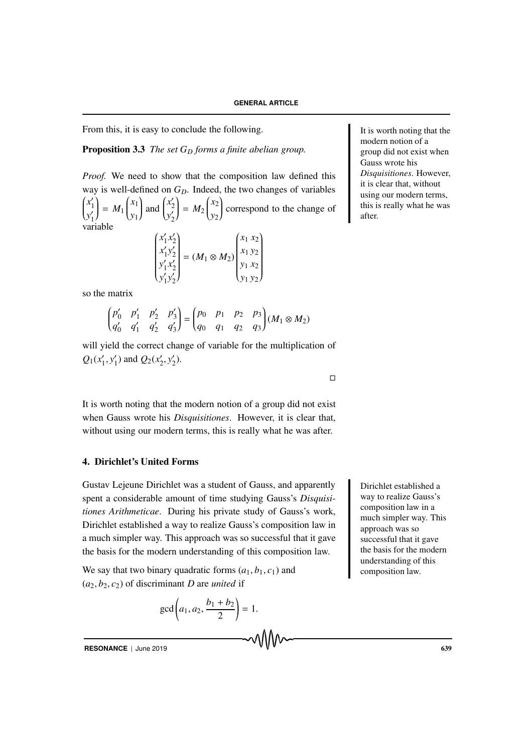From this, it is easy to conclude the following. It is worth noting that the

# **Proposition 3.3** *The set G<sub>D</sub> forms a finite abelian group.*

*Proof.* We need to show that the composition law defined this way is well-defined on  $G<sub>D</sub>$ . Indeed, the two changes of variables  $\Big($ *x* 1 *y*  $\frac{v_1}{v_1}$  $= M_1 \begin{pmatrix} x_1 \\ y_1 \end{pmatrix}$ *y*1  $\int$  and  $\int$ *x* 2 *y* 2  $= M_2 \begin{pmatrix} x_2 \\ y_2 \end{pmatrix}$ *y*2  $\int$  correspond to the change of

$$
\begin{pmatrix} x_1' x_2' \\ x_1' y_2' \\ y_1' x_2' \\ y_1' y_2' \end{pmatrix} = (M_1 \otimes M_2) \begin{pmatrix} x_1 x_2 \\ x_1 y_2 \\ y_1 x_2 \\ y_1 y_2 \end{pmatrix}
$$

so the matrix

$$
\begin{pmatrix} p'_0 & p'_1 & p'_2 & p'_3 \ q'_0 & q'_1 & q'_2 & q'_3 \end{pmatrix} = \begin{pmatrix} p_0 & p_1 & p_2 & p_3 \ q_0 & q_1 & q_2 & q_3 \end{pmatrix} (M_1 \otimes M_2)
$$

will yield the correct change of variable for the multiplication of  $Q_1(x'_1, y'_1)$  and  $Q_2(x'_2, y'_2)$ .

It is worth noting that the modern notion of a group did not exist when Gauss wrote his *Disquisitiones*. However, it is clear that, without using our modern terms, this is really what he was after.

# 4. Dirichlet's United Forms

Gustav Lejeune Dirichlet was a student of Gauss, and apparently Dirichlet established a spent a considerable amount of time studying Gauss's *Disquisitiones Arithmeticae*. During his private study of Gauss's work, Dirichlet established a way to realize Gauss's composition law in a much simpler way. This approach was so successful that it gave the basis for the modern understanding of this composition law.

We say that two binary quadratic forms  $(a_1, b_1, c_1)$  and  $(a_2, b_2, c_2)$  of discriminant *D* are *united* if

$$
\gcd\left(a_1, a_2, \frac{b_1 + b_2}{2}\right) = 1.
$$

modern notion of a group did not exist when Gauss wrote his *Disquisitiones*. However, it is clear that, without using our modern terms, this is really what he was after.

way to realize Gauss's composition law in a much simpler way. This approach was so successful that it gave the basis for the modern understanding of this composition law.

 $\Box$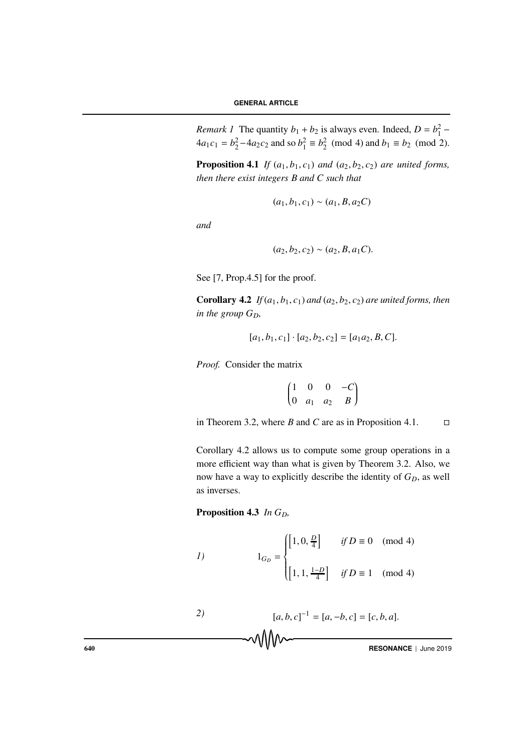*Remark 1* The quantity  $b_1 + b_2$  is always even. Indeed,  $D = b_1^2$  –  $4a_1c_1 = b_2^2 - 4a_2c_2$  and so  $b_1^2 \equiv b_2^2 \pmod{4}$  and  $b_1 \equiv b_2 \pmod{2}$ .

**Proposition 4.1** *If*  $(a_1, b_1, c_1)$  *and*  $(a_2, b_2, c_2)$  *are united forms, then there exist integers B and C such that*

$$
(a_1, b_1, c_1) \sim (a_1, B, a_2 C)
$$

*and*

$$
(a_2, b_2, c_2) \sim (a_2, B, a_1 C).
$$

See [7, Prop.4.5] for the proof.

**Corollary 4.2** *If*  $(a_1, b_1, c_1)$  *and*  $(a_2, b_2, c_2)$  *are united forms, then in the group*  $G_D$ ,

$$
[a_1, b_1, c_1] \cdot [a_2, b_2, c_2] = [a_1 a_2, B, C].
$$

*Proof.* Consider the matrix

$$
\begin{pmatrix}\n1 & 0 & 0 & -C \\
0 & a_1 & a_2 & B\n\end{pmatrix}
$$

in Theorem 3.2, where *B* and *C* are as in Proposition 4.1.  $\Box$ 

Corollary 4.2 allows us to compute some group operations in a more efficient way than what is given by Theorem 3.2. Also, we now have a way to explicitly describe the identity of  $G_D$ , as well as inverses.

Proposition 4.3 *In G<sub>D</sub>*,

1) 
$$
1_{G_D} = \begin{cases} \left[1, 0, \frac{D}{4}\right] & \text{if } D \equiv 0 \pmod{4} \\ \\ \left[1, 1, \frac{1-D}{4}\right] & \text{if } D \equiv 1 \pmod{4} \end{cases}
$$

*2)* [*a*, *b*, *c*] <sup>−</sup><sup>1</sup> = [*a*, −*b*, *c*] = [*c*, *b*, *a*]. 640 **RESONANCE** | June 2019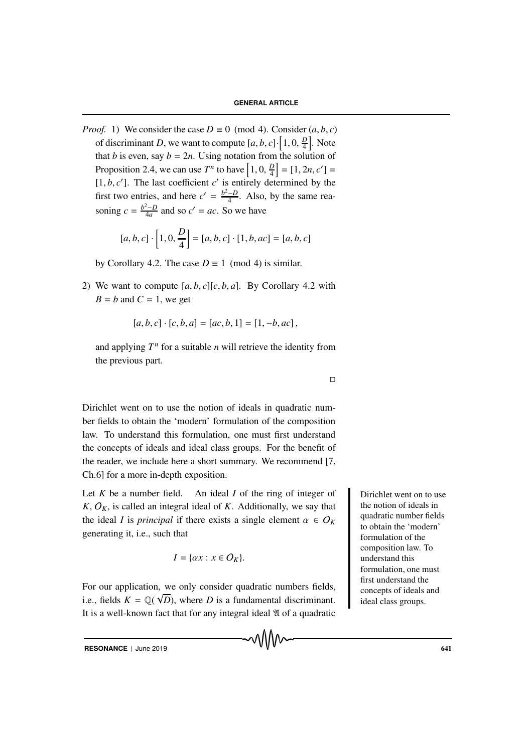*Proof.* 1) We consider the case  $D \equiv 0 \pmod{4}$ . Consider  $(a, b, c)$ of discriminant *D*, we want to compute  $[a, b, c] \cdot [1, 0, \frac{D}{4}]$ . Note that *b* is even, say  $b = 2n$ . Using notation from the solution of Proposition 2.4, we can use  $T^n$  to have  $\left[1, 0, \frac{D}{4}\right] = [1, 2n, c'] =$  $[1, b, c']$ . The last coefficient  $c'$  is entirely determined by the first two entries, and here  $c' = \frac{b^2 - D}{4}$ . Also, by the same reasoning  $c = \frac{b^2 - D}{4a}$  and so  $c' = ac$ . So we have

$$
[a, b, c] \cdot \left[1, 0, \frac{D}{4}\right] = [a, b, c] \cdot [1, b, ac] = [a, b, c]
$$

by Corollary 4.2. The case  $D \equiv 1 \pmod{4}$  is similar.

2) We want to compute  $[a, b, c][c, b, a]$ . By Corollary 4.2 with  $B = b$  and  $C = 1$ , we get

$$
[a, b, c] \cdot [c, b, a] = [ac, b, 1] = [1, -b, ac],
$$

and applying  $T^n$  for a suitable *n* will retrieve the identity from the previous part.

Dirichlet went on to use the notion of ideals in quadratic number fields to obtain the 'modern' formulation of the composition law. To understand this formulation, one must first understand the concepts of ideals and ideal class groups. For the benefit of the reader, we include here a short summary. We recommend [7, Ch.6] for a more in-depth exposition.

Let  $K$  be a number field. An ideal  $I$  of the ring of integer of **Dirichlet went on to use**  $K, O<sub>K</sub>$ , is called an integral ideal of *K*. Additionally, we say that the ideal *I* is *principal* if there exists a single element  $\alpha \in O_K$ generating it, i.e., such that

$$
I = \{ \alpha x : x \in O_K \}.
$$

For our application, we only consider quadratic numbers fields, i.e., fields  $K = \mathbb{Q}(\sqrt{D})$ , where *D* is a fundamental discriminant. It is a well-known fact that for any integral ideal  $\mathfrak A$  of a quadratic the notion of ideals in quadratic number fields to obtain the 'modern' formulation of the composition law. To understand this formulation, one must first understand the concepts of ideals and ideal class groups.

 $\Box$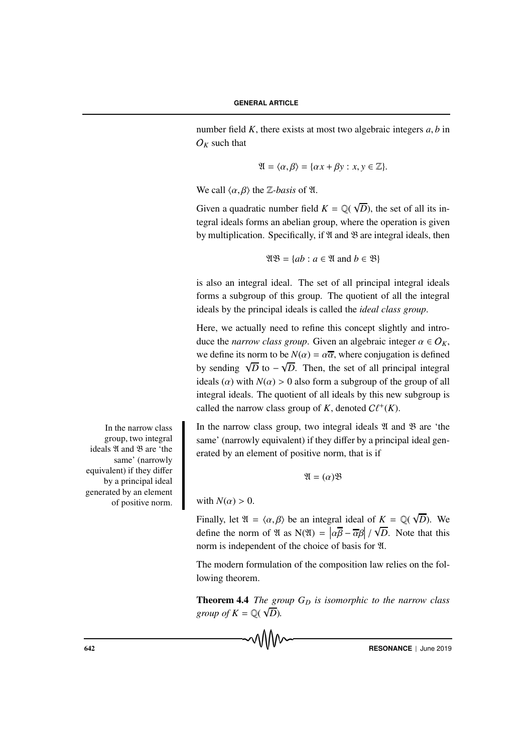number field *K*, there exists at most two algebraic integers *a*, *b* in  $O_K$  such that

$$
\mathfrak{A} = \langle \alpha, \beta \rangle = \{ \alpha x + \beta y : x, y \in \mathbb{Z} \}.
$$

We call  $\langle \alpha, \beta \rangle$  the *Z*-basis of *I*.

Given a quadratic number field  $K = \mathbb{Q}($ √ *D*), the set of all its integral ideals forms an abelian group, where the operation is given by multiplication. Specifically, if  $\mathfrak A$  and  $\mathfrak B$  are integral ideals, then

$$
\mathfrak{AB} = \{ ab : a \in \mathfrak{A} \text{ and } b \in \mathfrak{B} \}
$$

is also an integral ideal. The set of all principal integral ideals forms a subgroup of this group. The quotient of all the integral ideals by the principal ideals is called the *ideal class group*.

Here, we actually need to refine this concept slightly and introduce the *narrow class group*. Given an algebraic integer  $\alpha \in O_K$ , we define its norm to be  $N(\alpha) = \alpha \overline{\alpha}$ , where conjugation is defined by sending  $\sqrt{D}$  to – ∪<br>∪ *D*. Then, the set of all principal integral ideals ( $\alpha$ ) with  $N(\alpha) > 0$  also form a subgroup of the group of all integral ideals. The quotient of all ideals by this new subgroup is called the narrow class group of *K*, denoted  $C\ell^+(K)$ .

In the narrow class group, two integral ideals  $\mathfrak A$  and  $\mathfrak B$  are 'the same' (narrowly equivalent) if they differ by a principal ideal generated by an element of positive norm, that is if

$$
\mathfrak{A}=(\alpha)\mathfrak{B}
$$

with  $N(\alpha) > 0$ .

Finally, let  $\mathfrak{A} = \langle \alpha, \beta \rangle$  be an integral ideal of  $K = \mathbb{Q}(\mathbb{Q})$ √ *D*). We define the norm of  $\mathfrak{A}$  as  $N(\mathfrak{A}) = |\alpha \overline{\beta} - \overline{\alpha} \beta|$ √ *D*. Note that this norm is independent of the choice of basis for  $\mathfrak{A}$ .

The modern formulation of the composition law relies on the following theorem.

**Theorem 4.4** *The group*  $G_D$  *is isomorphic to the narrow class group of*  $K = \mathbb{Q}(\sqrt{D})$ *.* 

In the narrow class group, two integral ideals  $\mathfrak A$  and  $\mathfrak B$  are 'the same' (narrowly equivalent) if they differ by a principal ideal generated by an element of positive norm.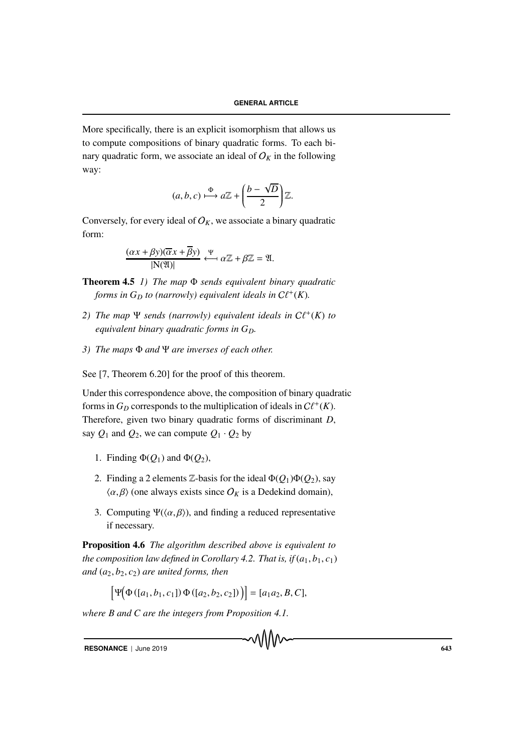More specifically, there is an explicit isomorphism that allows us to compute compositions of binary quadratic forms. To each binary quadratic form, we associate an ideal of  $O_K$  in the following way:

$$
(a, b, c) \xrightarrow{\Phi} a\mathbb{Z} + \left(\frac{b - \sqrt{D}}{2}\right)\mathbb{Z}.
$$

Conversely, for every ideal of  $O_K$ , we associate a binary quadratic form:

$$
\frac{(\alpha x + \beta y)(\overline{\alpha} x + \overline{\beta} y)}{|\mathcal{N}(\mathfrak{A})|} \xleftarrow{\Psi} \alpha \mathbb{Z} + \beta \mathbb{Z} = \mathfrak{A}.
$$

Theorem 4.5 *1) The map* Φ *sends equivalent binary quadratic forms in*  $G_D$  *to (narrowly) equivalent ideals in*  $C\ell^+(K)$ *.* 

- 2) The map  $\Psi$  *sends* (narrowly) equivalent ideals in  $C\ell^+(K)$  to *equivalent binary quadratic forms in GD.*
- *3) The maps* Φ *and* Ψ *are inverses of each other.*

See [7, Theorem 6.20] for the proof of this theorem.

Under this correspondence above, the composition of binary quadratic forms in  $G_D$  corresponds to the multiplication of ideals in  $C\ell^+(K)$ . Therefore, given two binary quadratic forms of discriminant *D*, say  $Q_1$  and  $Q_2$ , we can compute  $Q_1 \cdot Q_2$  by

- 1. Finding  $\Phi(Q_1)$  and  $\Phi(Q_2)$ ,
- 2. Finding a 2 elements  $\mathbb{Z}$ -basis for the ideal  $\Phi(Q_1)\Phi(Q_2)$ , say  $\langle \alpha, \beta \rangle$  (one always exists since  $O_K$  is a Dedekind domain),
- 3. Computing  $\Psi(\langle \alpha, \beta \rangle)$ , and finding a reduced representative if necessary.

Proposition 4.6 *The algorithm described above is equivalent to the composition law defined in Corollary 4.2. That is, if*  $(a_1, b_1, c_1)$ *and* (*a*2, *b*2, *c*2) *are united forms, then*

$$
[\Psi(\Phi([a_1, b_1, c_1]) \Phi([a_2, b_2, c_2]))] = [a_1 a_2, B, C],
$$

*where B and C are the integers from Proposition 4.1.*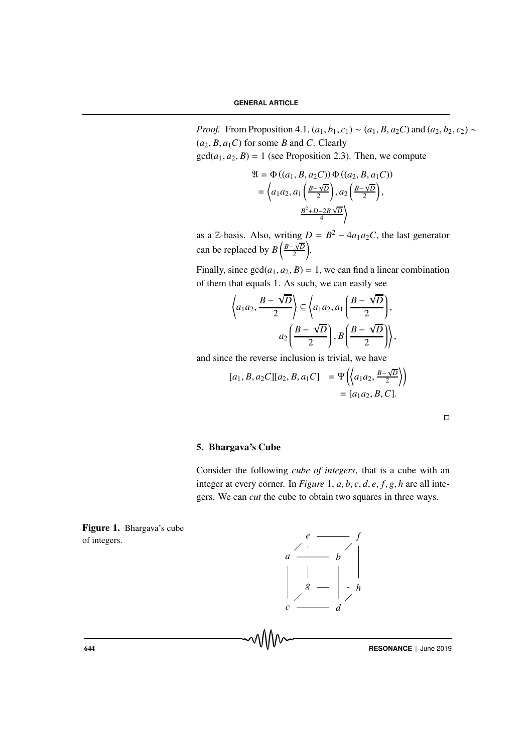*Proof.* From Proposition 4.1,  $(a_1, b_1, c_1) \sim (a_1, B, a_2 C)$  and  $(a_2, b_2, c_2) \sim$  $(a_2, B, a_1C)$  for some *B* and *C*. Clearly

 $gcd(a_1, a_2, B) = 1$  (see Proposition 2.3). Then, we compute

$$
\mathfrak{A} = \Phi((a_1, B, a_2C)) \Phi((a_2, B, a_1C))
$$

$$
= \left\langle a_1 a_2, a_1 \left( \frac{B - \sqrt{D}}{2} \right), a_2 \left( \frac{B - \sqrt{D}}{2} \right), \frac{B^2 + D - 2B\sqrt{D}}{4} \right\rangle
$$

as a Z-basis. Also, writing  $D = B^2 - 4a_1a_2C$ , the last generator can be replaced by  $B\left(\frac{B-\sqrt{D}}{2}\right)$  $\frac{\sqrt{D}}{2}$ .

Finally, since  $gcd(a_1, a_2, B) = 1$ , we can find a linear combination of them that equals 1. As such, we can easily see

$$
\left\langle a_1 a_2, \frac{B - \sqrt{D}}{2} \right\rangle \subseteq \left\langle a_1 a_2, a_1 \left( \frac{B - \sqrt{D}}{2} \right), \right\rangle
$$

$$
a_2 \left( \frac{B - \sqrt{D}}{2} \right), B \left( \frac{B - \sqrt{D}}{2} \right) \right\rangle,
$$

and since the reverse inclusion is trivial, we have

$$
[a_1, B, a_2C][a_2, B, a_1C]
$$
 =  $\Psi\left(\left\langle a_1a_2, \frac{B-\sqrt{D}}{2} \right\rangle\right)$   
 =  $[a_1a_2, B, C].$ 

 $\Box$ 

#### 5. Bhargava's Cube

Consider the following *cube of integers*, that is a cube with an integer at every corner. In *Figure* 1, *a*, *b*, *c*, *d*, *e*, *f*, *g*, *h* are all integers. We can *cut* the cube to obtain two squares in three ways.

Figure 1. Bhargava's cube of integers.

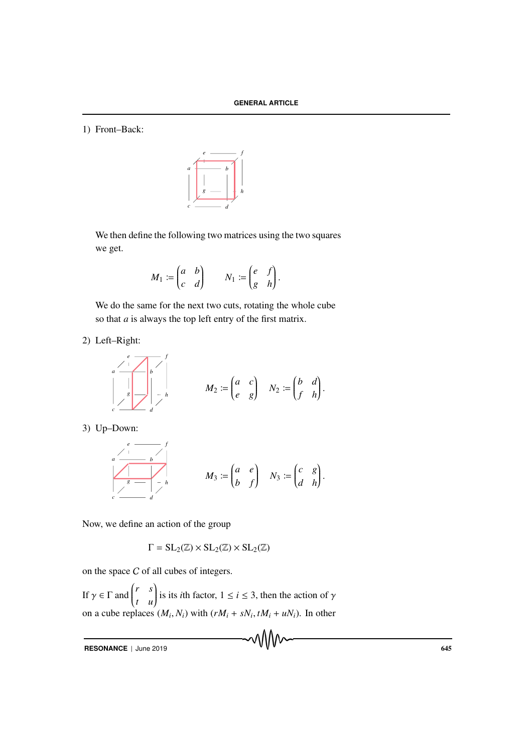1) Front–Back:



We then define the following two matrices using the two squares we get.

$$
M_1 := \begin{pmatrix} a & b \\ c & d \end{pmatrix} \qquad N_1 := \begin{pmatrix} e & f \\ g & h \end{pmatrix}.
$$

We do the same for the next two cuts, rotating the whole cube so that *a* is always the top left entry of the first matrix.

2) Left–Right:

$$
M_2 := \begin{pmatrix} e & & & & f \\ 0 & & & & \\ 0 & & & & \\ 0 & & & & \\ 0 & & & & \\ 0 & & & & \\ 0 & & & & \\ 0 & & & & \\ 0 & & & & \\ 0 & & & & \\ 0 & & & & \\ 0 & & & & \\ 0 & & & & \\ 0 & & & & \\ 0 & & & & \\ 0 & & & & \\ 0 & & & & \\ 0 & & & & \\ 0 & & & & \\ 0 & & & & \\ 0 & & & & \\ 0 & & & & \\ 0 & & & & \\ 0 & & & & \\ 0 & & & & \\ 0 & & & & \\ 0 & & & & \\ 0 & & & & \\ 0 & & & & \\ 0 & & & & \\ 0 & & & & \\ 0 & & & & \\ 0 & & & & \\ 0 & & & & \\ 0 & & & & \\ 0 & & & & & \\ 0 & & & & & \\ 0 & & & & & \\ 0 & & & & & \\ 0 & & & & & \\ 0 & & & & & \\ 0 & & & & & \\ 0 & & & & & \\ 0 & & & & & \\ 0 & & & & & \\ 0 & & & & & \\ 0 & & & & & \\ 0 & &
$$

3) Up–Down:

$$
\begin{array}{ccc}\n\begin{array}{ccc}\n & e & \xrightarrow{\scriptscriptstyle{f}} & f \\
\hline\n\end{array} & & \\
\begin{array}{c|ccc}\n\hline\n & s & \xrightarrow{\scriptscriptstyle{f}} \\
\hline\n\end{array} & & \\
\begin{array}{c|ccc}\n\hline\n & s & \xrightarrow{\scriptscriptstyle{f}} \\
\hline\n\end{array} & & \\
\hline\n\end{array} \qquad M_3 := \begin{pmatrix} a & e \\ b & f \end{pmatrix} & & \\
N_3 := \begin{pmatrix} c & g \\ d & h \end{pmatrix}.
$$

Now, we define an action of the group

$$
\Gamma = SL_2(\mathbb{Z}) \times SL_2(\mathbb{Z}) \times SL_2(\mathbb{Z})
$$

on the space C of all cubes of integers.

If  $\gamma \in \Gamma$  and  $\begin{pmatrix} r & s \\ t & u \end{pmatrix}$ *t u* is its *i*th factor,  $1 \le i \le 3$ , then the action of  $\gamma$ on a cube replaces  $(M_i, N_i)$  with  $(rM_i + sN_i, tM_i + uN_i)$ . In other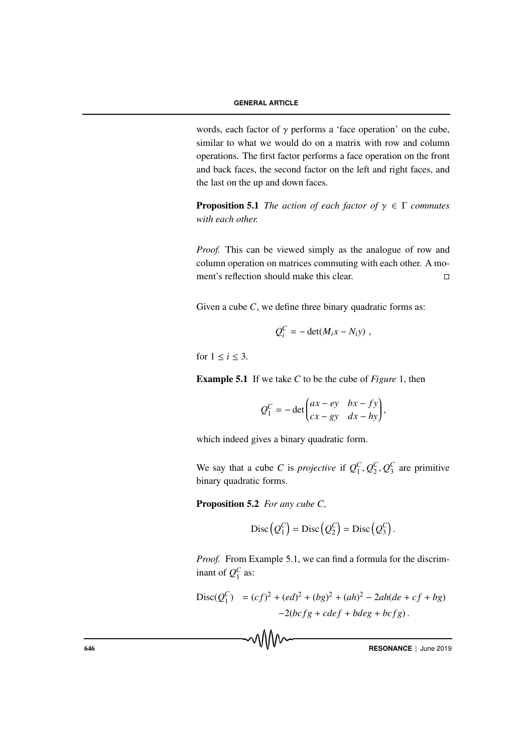words, each factor of  $\gamma$  performs a 'face operation' on the cube, similar to what we would do on a matrix with row and column operations. The first factor performs a face operation on the front and back faces, the second factor on the left and right faces, and the last on the up and down faces.

**Proposition 5.1** *The action of each factor of*  $\gamma \in \Gamma$  *commutes with each other.*

*Proof.* This can be viewed simply as the analogue of row and column operation on matrices commuting with each other. A moment's reflection should make this clear.  $\Box$ 

Given a cube *C*, we define three binary quadratic forms as:

$$
Q_i^C = -\det(M_i x - N_i y) ,
$$

for  $1 \leq i \leq 3$ .

Example 5.1 If we take *C* to be the cube of *Figure* 1, then

$$
Q_1^C = -\det\begin{pmatrix} ax - ey & bx - fy \\ cx - gy & dx - hy \end{pmatrix},
$$

which indeed gives a binary quadratic form.

We say that a cube *C* is *projective* if  $Q_1^C, Q_2^C, Q_3^C$  are primitive binary quadratic forms.

Proposition 5.2 *For any cube C,*

$$
Disc(Q_1^C) = Disc(Q_2^C) = Disc(Q_3^C).
$$

*Proof.* From Example 5.1, we can find a formula for the discriminant of  $Q_1^C$  as:

$$
\begin{aligned} \text{Disc}(Q_1^C) &= (cf)^2 + (ed)^2 + (bg)^2 + (ah)^2 - 2ah(de + cf + bg) \\ &- 2(bcfg + cdef + bdeg + bcfg) \,. \end{aligned}
$$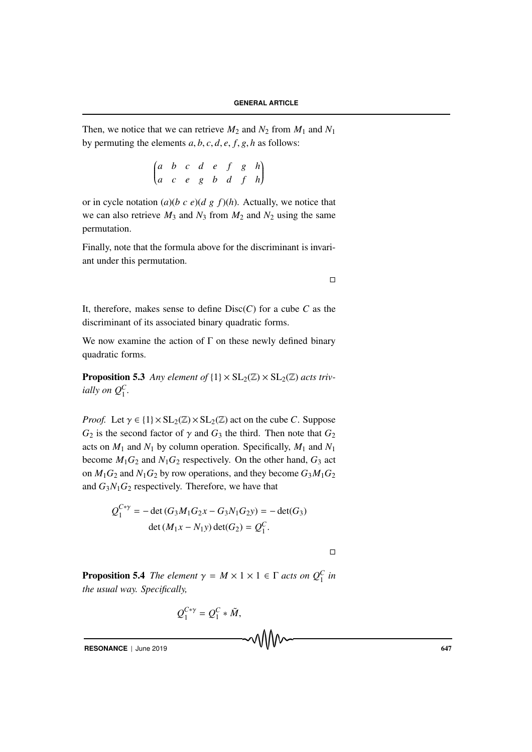Then, we notice that we can retrieve  $M_2$  and  $N_2$  from  $M_1$  and  $N_1$ by permuting the elements *a*, *b*, *c*, *d*, *e*, *f*, *g*, *h* as follows:

$$
\begin{pmatrix} a & b & c & d & e & f & g & h \\ a & c & e & g & b & d & f & h \end{pmatrix}
$$

or in cycle notation  $(a)(b \ c \ e)(d \ g \ f)(h)$ . Actually, we notice that we can also retrieve  $M_3$  and  $N_3$  from  $M_2$  and  $N_2$  using the same permutation.

Finally, note that the formula above for the discriminant is invariant under this permutation.

 $\Box$ 

It, therefore, makes sense to define Disc(*C*) for a cube *C* as the discriminant of its associated binary quadratic forms.

We now examine the action of  $\Gamma$  on these newly defined binary quadratic forms.

**Proposition 5.3** Any element of  $\{1\} \times SL_2(\mathbb{Z}) \times SL_2(\mathbb{Z})$  acts triv*ially on*  $Q_1^C$ .

*Proof.* Let  $\gamma \in \{1\} \times SL_2(\mathbb{Z}) \times SL_2(\mathbb{Z})$  act on the cube *C*. Suppose  $G_2$  is the second factor of  $\gamma$  and  $G_3$  the third. Then note that  $G_2$ acts on  $M_1$  and  $N_1$  by column operation. Specifically,  $M_1$  and  $N_1$ become  $M_1G_2$  and  $N_1G_2$  respectively. On the other hand,  $G_3$  act on  $M_1G_2$  and  $N_1G_2$  by row operations, and they become  $G_3M_1G_2$ and  $G_3N_1G_2$  respectively. Therefore, we have that

$$
Q_1^{C*\gamma} = -\det(G_3M_1G_2x - G_3N_1G_2y) = -\det(G_3)
$$
  
 
$$
\det(M_1x - N_1y)\det(G_2) = Q_1^C.
$$

 $\Box$ 

**Proposition 5.4** *The element*  $\gamma = M \times 1 \times 1 \in \Gamma$  *acts on*  $Q_1^C$  *in the usual way. Specifically,*

$$
Q_1^{C*\gamma}=Q_1^C*\tilde{M},
$$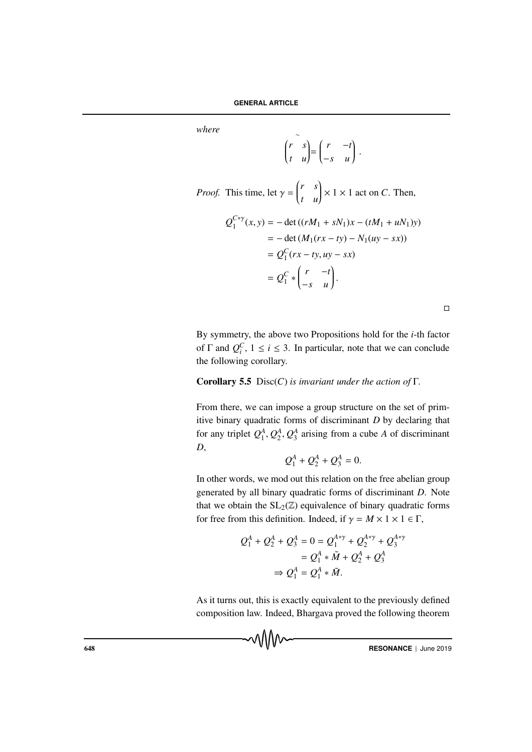*where* <sup>∼</sup>

$$
\begin{pmatrix} r & s \\ t & u \end{pmatrix} = \begin{pmatrix} r & -t \\ -s & u \end{pmatrix}.
$$

*Proof.* This time, let  $\gamma = \begin{pmatrix} r & s \\ t & u \end{pmatrix}$ *t u*  $\left\} \times 1 \times 1$  act on *C*. Then,

$$
Q_1^{C*y}(x, y) = -\det ((rM_1 + sN_1)x - (tM_1 + uN_1)y)
$$
  
= -\det (M\_1(rx - ty) - N\_1(uy - sx))  
= Q\_1^C (rx - ty, uy - sx)  
= Q\_1^C \* {r - t \choose -s - u}.

By symmetry, the above two Propositions hold for the *i*-th factor of  $\Gamma$  and  $Q_i^C$ ,  $1 \le i \le 3$ . In particular, note that we can conclude the following corollary.

#### Corollary 5.5 Disc(*C*) *is invariant under the action of* Γ*.*

From there, we can impose a group structure on the set of primitive binary quadratic forms of discriminant *D* by declaring that for any triplet  $Q_1^A, Q_2^A, Q_3^A$  arising from a cube *A* of discriminant *D*,

$$
Q_1^A + Q_2^A + Q_3^A = 0.
$$

In other words, we mod out this relation on the free abelian group generated by all binary quadratic forms of discriminant *D*. Note that we obtain the  $SL_2(\mathbb{Z})$  equivalence of binary quadratic forms for free from this definition. Indeed, if  $\gamma = M \times 1 \times 1 \in \Gamma$ ,

$$
Q_1^A + Q_2^A + Q_3^A = 0 = Q_1^{A*\gamma} + Q_2^{A*\gamma} + Q_3^{A*\gamma}
$$
  
=  $Q_1^A * \tilde{M} + Q_2^A + Q_3^A$   

$$
\Rightarrow Q_1^A = Q_1^A * \tilde{M}.
$$

As it turns out, this is exactly equivalent to the previously defined composition law. Indeed, Bhargava proved the following theorem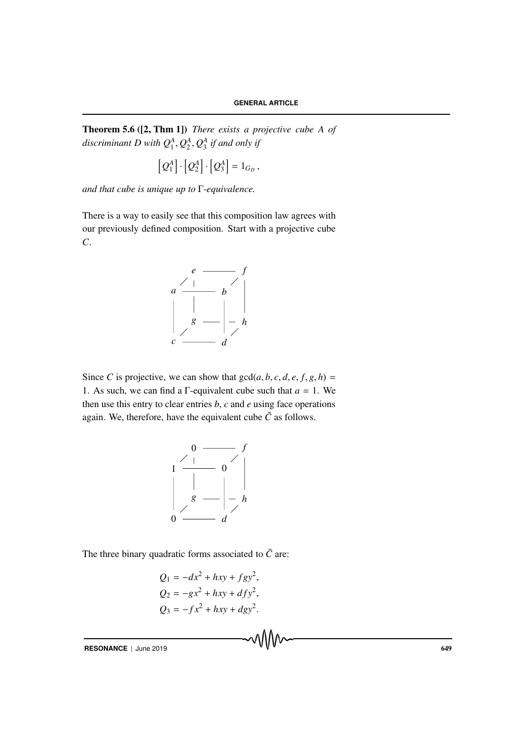Theorem 5.6 ([2, Thm 1]) *There exists a projective cube A of* discriminant D with  $Q_1^A, Q_2^A, Q_3^A$  if and only if

$$
\left[Q_1^A\right]\cdot\left[Q_2^A\right]\cdot\left[Q_3^A\right]=1_{G_D},
$$

*and that cube is unique up to* Γ*-equivalence.*

There is a way to easily see that this composition law agrees with our previously defined composition. Start with a projective cube *C*.



Since *C* is projective, we can show that  $gcd(a, b, c, d, e, f, g, h) =$ 1. As such, we can find a  $\Gamma$ -equivalent cube such that  $a = 1$ . We then use this entry to clear entries *b*, *c* and *e* using face operations again. We, therefore, have the equivalent cube  $\tilde{C}$  as follows.



The three binary quadratic forms associated to  $\tilde{C}$  are:

$$
Q_1 = -dx^2 + hxy + fgy^2,
$$
  
\n
$$
Q_2 = -gx^2 + hxy + dfy^2,
$$
  
\n
$$
Q_3 = -fx^2 + hxy + dgy^2.
$$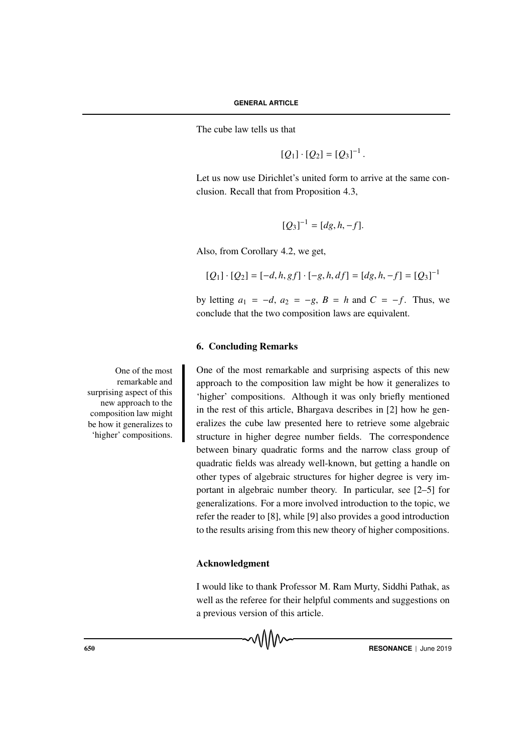The cube law tells us that

$$
[Q_1] \cdot [Q_2] = [Q_3]^{-1}.
$$

Let us now use Dirichlet's united form to arrive at the same conclusion. Recall that from Proposition 4.3,

$$
[Q_3]^{-1} = [dg, h, -f].
$$

Also, from Corollary 4.2, we get,

$$
[Q_1] \cdot [Q_2] = [-d, h, gf] \cdot [-g, h, df] = [dg, h, -f] = [Q_3]^{-1}
$$

by letting  $a_1 = -d$ ,  $a_2 = -g$ ,  $B = h$  and  $C = -f$ . Thus, we conclude that the two composition laws are equivalent.

## 6. Concluding Remarks

One of the most remarkable and surprising aspects of this new approach to the composition law might be how it generalizes to 'higher' compositions. Although it was only briefly mentioned in the rest of this article, Bhargava describes in [2] how he generalizes the cube law presented here to retrieve some algebraic structure in higher degree number fields. The correspondence between binary quadratic forms and the narrow class group of quadratic fields was already well-known, but getting a handle on other types of algebraic structures for higher degree is very important in algebraic number theory. In particular, see [2–5] for generalizations. For a more involved introduction to the topic, we refer the reader to [8], while [9] also provides a good introduction to the results arising from this new theory of higher compositions.

#### Acknowledgment

I would like to thank Professor M. Ram Murty, Siddhi Pathak, as well as the referee for their helpful comments and suggestions on a previous version of this article.

One of the most remarkable and surprising aspect of this new approach to the composition law might be how it generalizes to 'higher' compositions.